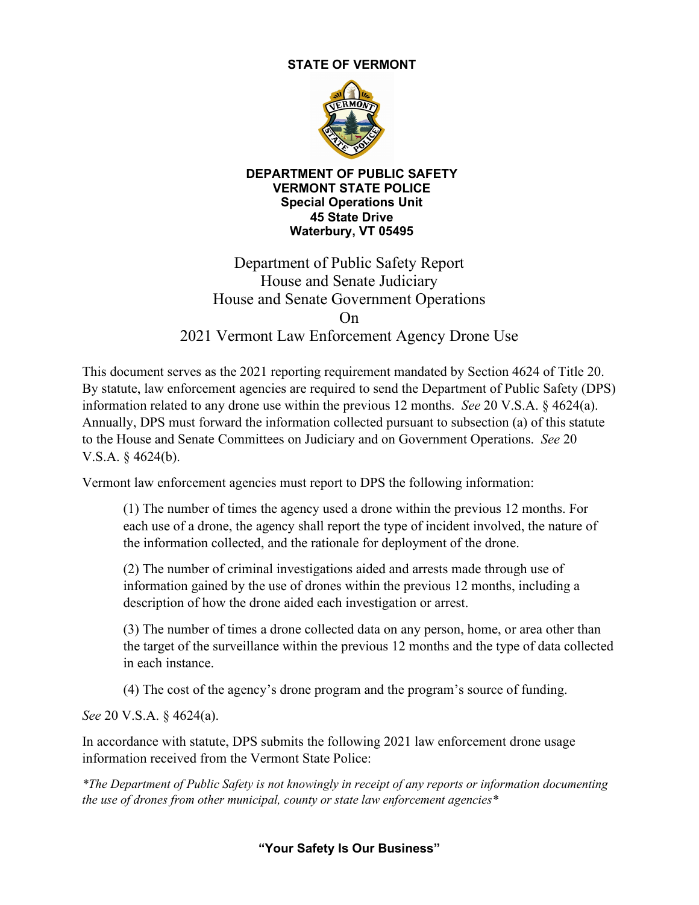## **STATE OF VERMONT**



#### **DEPARTMENT OF PUBLIC SAFETY VERMONT STATE POLICE Special Operations Unit 45 State Drive Waterbury, VT 05495**

# Department of Public Safety Report House and Senate Judiciary House and Senate Government Operations On 2021 Vermont Law Enforcement Agency Drone Use

This document serves as the 2021 reporting requirement mandated by Section 4624 of Title 20. By statute, law enforcement agencies are required to send the Department of Public Safety (DPS) information related to any drone use within the previous 12 months. *See* 20 V.S.A. § 4624(a). Annually, DPS must forward the information collected pursuant to subsection (a) of this statute to the House and Senate Committees on Judiciary and on Government Operations. *See* 20 V.S.A. § 4624(b).

Vermont law enforcement agencies must report to DPS the following information:

(1) The number of times the agency used a drone within the previous 12 months. For each use of a drone, the agency shall report the type of incident involved, the nature of the information collected, and the rationale for deployment of the drone.

(2) The number of criminal investigations aided and arrests made through use of information gained by the use of drones within the previous 12 months, including a description of how the drone aided each investigation or arrest.

(3) The number of times a drone collected data on any person, home, or area other than the target of the surveillance within the previous 12 months and the type of data collected in each instance.

(4) The cost of the agency's drone program and the program's source of funding.

*See* 20 V.S.A. § 4624(a).

In accordance with statute, DPS submits the following 2021 law enforcement drone usage information received from the Vermont State Police:

*\*The Department of Public Safety is not knowingly in receipt of any reports or information documenting the use of drones from other municipal, county or state law enforcement agencies\**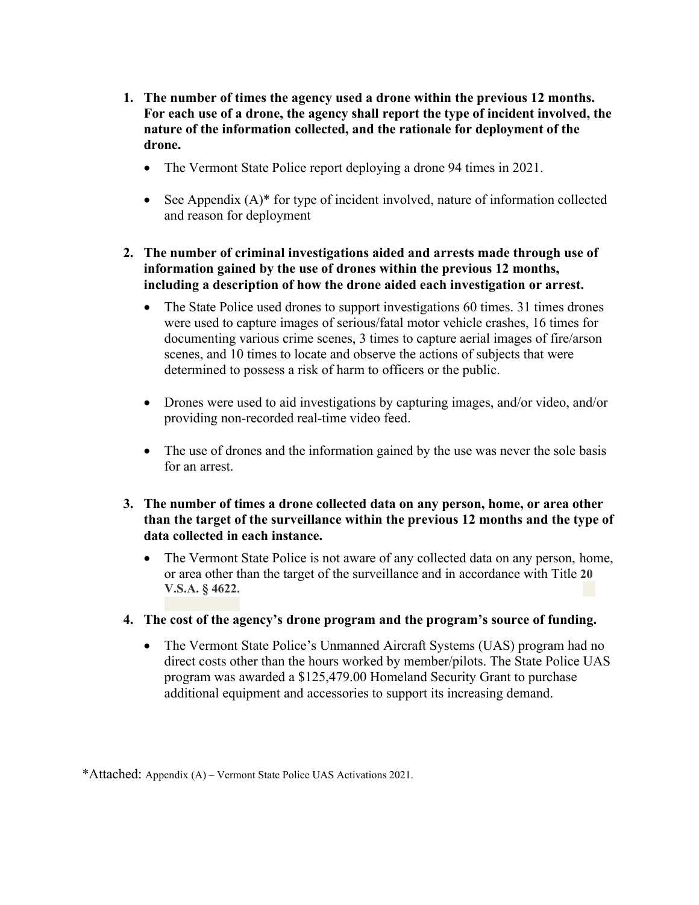- **1. The number of times the agency used a drone within the previous 12 months. For each use of a drone, the agency shall report the type of incident involved, the nature of the information collected, and the rationale for deployment of the drone.**
	- The Vermont State Police report deploying a drone 94 times in 2021.
	- See Appendix (A)\* for type of incident involved, nature of information collected and reason for deployment
- **2. The number of criminal investigations aided and arrests made through use of information gained by the use of drones within the previous 12 months, including a description of how the drone aided each investigation or arrest.**
	- The State Police used drones to support investigations 60 times. 31 times drones were used to capture images of serious/fatal motor vehicle crashes, 16 times for documenting various crime scenes, 3 times to capture aerial images of fire/arson scenes, and 10 times to locate and observe the actions of subjects that were determined to possess a risk of harm to officers or the public.
	- Drones were used to aid investigations by capturing images, and/or video, and/or providing non-recorded real-time video feed.
	- The use of drones and the information gained by the use was never the sole basis for an arrest.
- **3. The number of times a drone collected data on any person, home, or area other than the target of the surveillance within the previous 12 months and the type of data collected in each instance.**
	- The Vermont State Police is not aware of any collected data on any person, home, or area other than the target of the surveillance and in accordance with Title **20 V.S.A. § 4622.**
- **4. The cost of the agency's drone program and the program's source of funding.**
	- The Vermont State Police's Unmanned Aircraft Systems (UAS) program had no direct costs other than the hours worked by member/pilots. The State Police UAS program was awarded a \$125,479.00 Homeland Security Grant to purchase additional equipment and accessories to support its increasing demand.

<sup>\*</sup>Attached: Appendix (A) – Vermont State Police UAS Activations 2021.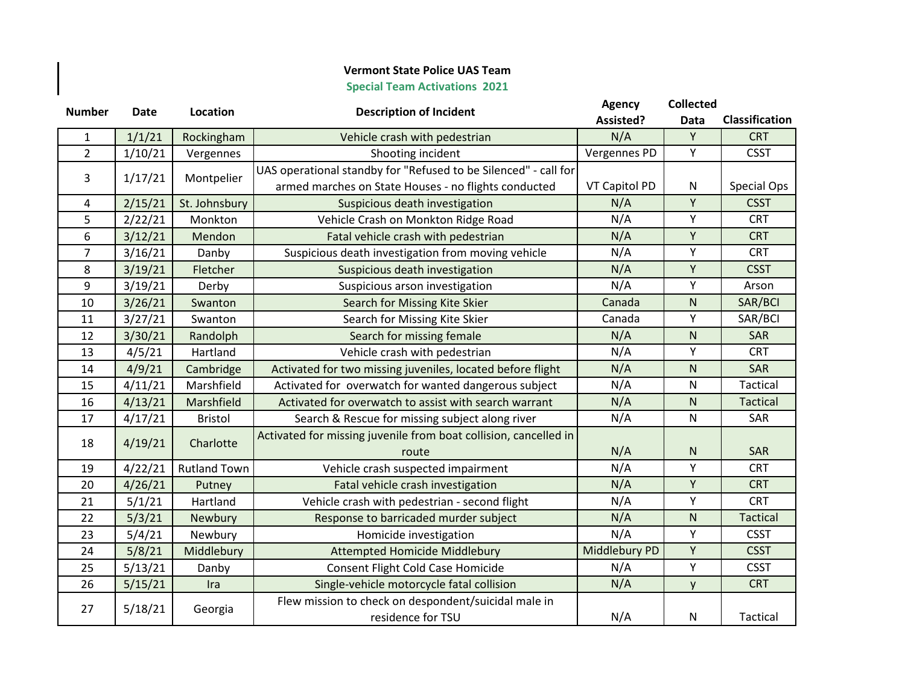### **Vermont State Police UAS Team**

## **Special Team Activations 2021**

 $\begin{array}{c} \hline \end{array}$ 

| <b>Number</b>  | <b>Date</b> | Location            | <b>Description of Incident</b>                                   | <b>Agency</b> | <b>Collected</b>  |                       |           |
|----------------|-------------|---------------------|------------------------------------------------------------------|---------------|-------------------|-----------------------|-----------|
|                |             |                     |                                                                  | Assisted?     | Data              | <b>Classification</b> |           |
| 1              | 1/1/21      | Rockingham          | Vehicle crash with pedestrian                                    | N/A           | Y                 | <b>CRT</b>            |           |
| $\overline{2}$ | 1/10/21     | Vergennes           | Shooting incident                                                | Vergennes PD  | Y                 | <b>CSST</b>           |           |
| 3              | 1/17/21     | Montpelier          | UAS operational standby for "Refused to be Silenced" - call for  |               |                   |                       |           |
|                |             |                     | armed marches on State Houses - no flights conducted             | VT Capitol PD | ${\sf N}$         | Special Ops           |           |
| 4              | 2/15/21     | St. Johnsbury       | Suspicious death investigation                                   | N/A           | Y                 | <b>CSST</b>           |           |
| 5              | 2/22/21     | Monkton             | Vehicle Crash on Monkton Ridge Road                              | N/A           | Υ                 | <b>CRT</b>            |           |
| 6              | 3/12/21     | Mendon              | Fatal vehicle crash with pedestrian                              | N/A           | Y                 | <b>CRT</b>            |           |
| $\overline{7}$ | 3/16/21     | Danby               | Suspicious death investigation from moving vehicle               | N/A           | Y                 | <b>CRT</b>            |           |
| 8              | 3/19/21     | Fletcher            | Suspicious death investigation                                   | N/A           | Υ                 | <b>CSST</b>           |           |
| 9              | 3/19/21     | Derby               | Suspicious arson investigation                                   | N/A           | Y                 | Arson                 |           |
| 10             | 3/26/21     | Swanton             | Search for Missing Kite Skier                                    | Canada        | ${\sf N}$         | SAR/BCI               |           |
| 11             | 3/27/21     | Swanton             | Search for Missing Kite Skier                                    | Canada        | Y                 | SAR/BCI               |           |
| 12             | 3/30/21     | Randolph            | Search for missing female                                        | N/A           | ${\sf N}$         | SAR                   |           |
| 13             | 4/5/21      | Hartland            | Vehicle crash with pedestrian                                    | N/A           | Υ                 | <b>CRT</b>            |           |
| 14             | 4/9/21      | Cambridge           | Activated for two missing juveniles, located before flight       | N/A           | ${\sf N}$         | SAR                   |           |
| 15             | 4/11/21     | Marshfield          | Activated for overwatch for wanted dangerous subject             | N/A           | ${\sf N}$         | Tactical              |           |
| 16             | 4/13/21     | Marshfield          | Activated for overwatch to assist with search warrant            | N/A           | ${\sf N}$         | <b>Tactical</b>       |           |
| 17             | 4/17/21     | <b>Bristol</b>      | Search & Rescue for missing subject along river                  | N/A           | ${\sf N}$         | SAR                   |           |
| 18             | 4/19/21     | Charlotte           | Activated for missing juvenile from boat collision, cancelled in |               |                   |                       |           |
|                |             |                     | route                                                            | N/A           | ${\sf N}$         | SAR                   |           |
| 19             | 4/22/21     | <b>Rutland Town</b> | Vehicle crash suspected impairment                               | N/A           | Υ                 | <b>CRT</b>            |           |
| 20             | 4/26/21     | Putney              | Fatal vehicle crash investigation                                | N/A           | Y                 | <b>CRT</b>            |           |
| 21             | 5/1/21      | Hartland            | Vehicle crash with pedestrian - second flight                    | N/A           | Υ                 | <b>CRT</b>            |           |
| 22             | 5/3/21      | Newbury             | Response to barricaded murder subject                            | N/A           | ${\sf N}$         | <b>Tactical</b>       |           |
| 23             | 5/4/21      | Newbury             | Homicide investigation                                           | N/A           | Υ                 | <b>CSST</b>           |           |
| 24             | 5/8/21      | Middlebury          | Attempted Homicide Middlebury                                    | Middlebury PD | $\mathsf Y$       | <b>CSST</b>           |           |
| 25             | 5/13/21     | Danby               | Consent Flight Cold Case Homicide                                | N/A           | Υ                 | <b>CSST</b>           |           |
| 26             | 5/15/21     | Ira                 | Single-vehicle motorcycle fatal collision                        | N/A           | y                 | <b>CRT</b>            |           |
|                | 5/18/21     |                     | Flew mission to check on despondent/suicidal male in             |               |                   |                       |           |
| 27             |             |                     |                                                                  | Georgia       | residence for TSU | N/A                   | ${\sf N}$ |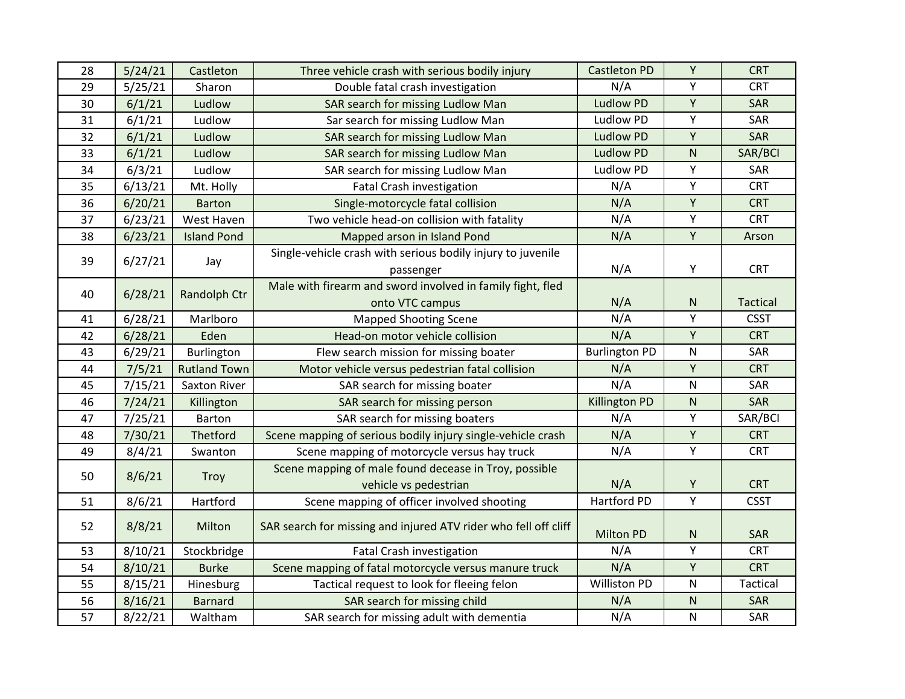| 28       | 5/24/21            | Castleton                 | Three vehicle crash with serious bodily injury                             | <b>Castleton PD</b>  | Υ                      | <b>CRT</b>      |
|----------|--------------------|---------------------------|----------------------------------------------------------------------------|----------------------|------------------------|-----------------|
| 29       | 5/25/21            | Sharon                    | Double fatal crash investigation                                           | N/A                  | Υ                      | <b>CRT</b>      |
| 30       | 6/1/21             | Ludlow                    | SAR search for missing Ludlow Man                                          | <b>Ludlow PD</b>     | Y                      | SAR             |
| 31       | 6/1/21             | Ludlow                    | Sar search for missing Ludlow Man                                          | Ludlow PD            | Υ                      | SAR             |
| 32       | 6/1/21             | Ludlow                    | SAR search for missing Ludlow Man                                          | <b>Ludlow PD</b>     | Υ                      | SAR             |
| 33       | 6/1/21             | Ludlow                    | SAR search for missing Ludlow Man                                          | <b>Ludlow PD</b>     | ${\sf N}$              | SAR/BCI         |
| 34       | 6/3/21             | Ludlow                    | SAR search for missing Ludlow Man                                          | <b>Ludlow PD</b>     | Υ                      | SAR             |
| 35       | 6/13/21            | Mt. Holly                 | <b>Fatal Crash investigation</b>                                           | N/A                  | Υ                      | <b>CRT</b>      |
| 36       | 6/20/21            | <b>Barton</b>             | Single-motorcycle fatal collision                                          | N/A                  | Υ                      | <b>CRT</b>      |
| 37       | 6/23/21            | West Haven                | Two vehicle head-on collision with fatality                                | N/A                  | Υ                      | <b>CRT</b>      |
| 38       | 6/23/21            | <b>Island Pond</b>        | Mapped arson in Island Pond                                                | N/A                  | Υ                      | Arson           |
| 39       | 6/27/21            |                           | Single-vehicle crash with serious bodily injury to juvenile                |                      |                        |                 |
|          |                    | Jay                       | passenger                                                                  | N/A                  | Υ                      | <b>CRT</b>      |
| 40       | 6/28/21            |                           | Male with firearm and sword involved in family fight, fled                 |                      |                        |                 |
|          |                    | Randolph Ctr              | onto VTC campus                                                            | N/A                  | ${\sf N}$              | <b>Tactical</b> |
| 41       | 6/28/21            | Marlboro                  | <b>Mapped Shooting Scene</b>                                               | N/A                  | Υ                      | <b>CSST</b>     |
| 42       | 6/28/21            | Eden                      | Head-on motor vehicle collision                                            | N/A                  | Υ                      | <b>CRT</b>      |
|          |                    |                           |                                                                            |                      |                        |                 |
| 43       | 6/29/21            | Burlington                | Flew search mission for missing boater                                     | <b>Burlington PD</b> | ${\sf N}$              | SAR             |
| 44       | 7/5/21             | <b>Rutland Town</b>       | Motor vehicle versus pedestrian fatal collision                            | N/A                  | Υ                      | <b>CRT</b>      |
| 45       | 7/15/21            | Saxton River              | SAR search for missing boater                                              | N/A                  | N                      | SAR             |
| 46       | 7/24/21            | Killington                | SAR search for missing person                                              | <b>Killington PD</b> | ${\sf N}$              | SAR             |
| 47       | 7/25/21            | Barton                    | SAR search for missing boaters                                             | N/A                  | Υ                      | SAR/BCI         |
| 48       | 7/30/21            | Thetford                  | Scene mapping of serious bodily injury single-vehicle crash                | N/A                  | Υ                      | <b>CRT</b>      |
| 49       | 8/4/21             | Swanton                   | Scene mapping of motorcycle versus hay truck                               | N/A                  | Υ                      | <b>CRT</b>      |
|          |                    |                           | Scene mapping of male found decease in Troy, possible                      |                      |                        |                 |
| 50       | 8/6/21             | Troy                      | vehicle vs pedestrian                                                      | N/A                  | Υ                      | <b>CRT</b>      |
| 51       | 8/6/21             | Hartford                  | Scene mapping of officer involved shooting                                 | Hartford PD          | Υ                      | <b>CSST</b>     |
|          |                    |                           |                                                                            |                      |                        |                 |
| 52       | 8/8/21             | Milton                    | SAR search for missing and injured ATV rider who fell off cliff            | <b>Milton PD</b>     | ${\sf N}$              | SAR             |
| 53       | 8/10/21            | Stockbridge               | <b>Fatal Crash investigation</b>                                           | N/A                  | Υ                      | <b>CRT</b>      |
| 54       | 8/10/21            | <b>Burke</b>              | Scene mapping of fatal motorcycle versus manure truck                      | N/A                  | Υ                      | <b>CRT</b>      |
| 55       | 8/15/21            | Hinesburg                 | Tactical request to look for fleeing felon                                 | <b>Williston PD</b>  | ${\sf N}$              | <b>Tactical</b> |
| 56<br>57 | 8/16/21<br>8/22/21 | <b>Barnard</b><br>Waltham | SAR search for missing child<br>SAR search for missing adult with dementia | N/A<br>N/A           | ${\sf N}$<br>${\sf N}$ | SAR<br>SAR      |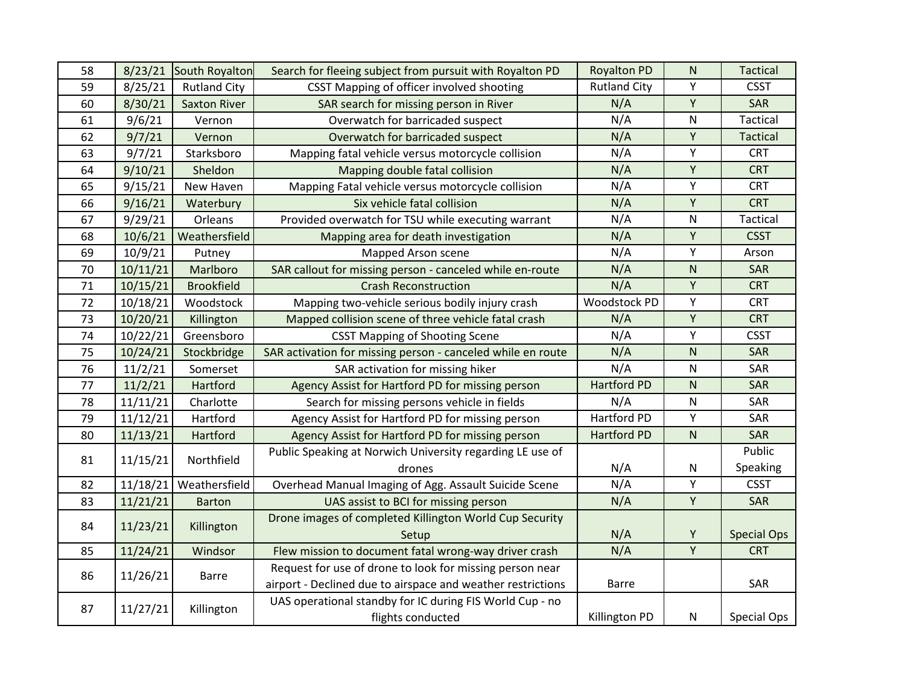| 58 | 8/23/21  | South Royalton      | Search for fleeing subject from pursuit with Royalton PD    | <b>Royalton PD</b>  | ${\sf N}$   | <b>Tactical</b>    |
|----|----------|---------------------|-------------------------------------------------------------|---------------------|-------------|--------------------|
| 59 | 8/25/21  | <b>Rutland City</b> | CSST Mapping of officer involved shooting                   | <b>Rutland City</b> | Y           | <b>CSST</b>        |
| 60 | 8/30/21  | <b>Saxton River</b> | SAR search for missing person in River                      | N/A                 | Υ           | SAR                |
| 61 | 9/6/21   | Vernon              | Overwatch for barricaded suspect                            | N/A                 | ${\sf N}$   | Tactical           |
| 62 | 9/7/21   | Vernon              | Overwatch for barricaded suspect                            | N/A                 | Υ           | <b>Tactical</b>    |
| 63 | 9/7/21   | Starksboro          | Mapping fatal vehicle versus motorcycle collision           | N/A                 | Υ           | <b>CRT</b>         |
| 64 | 9/10/21  | Sheldon             | Mapping double fatal collision                              | N/A                 | Y           | <b>CRT</b>         |
| 65 | 9/15/21  | New Haven           | Mapping Fatal vehicle versus motorcycle collision           | N/A                 | Υ           | <b>CRT</b>         |
| 66 | 9/16/21  | Waterbury           | Six vehicle fatal collision                                 | N/A                 | Υ           | <b>CRT</b>         |
| 67 | 9/29/21  | Orleans             | Provided overwatch for TSU while executing warrant          | N/A                 | ${\sf N}$   | <b>Tactical</b>    |
| 68 | 10/6/21  | Weathersfield       | Mapping area for death investigation                        | N/A                 | $\mathsf Y$ | <b>CSST</b>        |
| 69 | 10/9/21  | Putney              | Mapped Arson scene                                          | N/A                 | Y           | Arson              |
| 70 | 10/11/21 | Marlboro            | SAR callout for missing person - canceled while en-route    | N/A                 | ${\sf N}$   | SAR                |
| 71 | 10/15/21 | <b>Brookfield</b>   | <b>Crash Reconstruction</b>                                 | N/A                 | Υ           | <b>CRT</b>         |
| 72 | 10/18/21 | Woodstock           | Mapping two-vehicle serious bodily injury crash             | Woodstock PD        | Υ           | <b>CRT</b>         |
| 73 | 10/20/21 | Killington          | Mapped collision scene of three vehicle fatal crash         | N/A                 | $\mathsf Y$ | <b>CRT</b>         |
| 74 | 10/22/21 | Greensboro          | <b>CSST Mapping of Shooting Scene</b>                       | N/A                 | Y           | <b>CSST</b>        |
| 75 | 10/24/21 | Stockbridge         | SAR activation for missing person - canceled while en route | N/A                 | ${\sf N}$   | SAR                |
| 76 | 11/2/21  | Somerset            | SAR activation for missing hiker                            | N/A                 | ${\sf N}$   | SAR                |
| 77 | 11/2/21  | Hartford            | Agency Assist for Hartford PD for missing person            | <b>Hartford PD</b>  | ${\sf N}$   | SAR                |
| 78 | 11/11/21 | Charlotte           | Search for missing persons vehicle in fields                | N/A                 | ${\sf N}$   | SAR                |
| 79 | 11/12/21 | Hartford            | Agency Assist for Hartford PD for missing person            | Hartford PD         | Y           | SAR                |
| 80 | 11/13/21 | Hartford            | Agency Assist for Hartford PD for missing person            | <b>Hartford PD</b>  | ${\sf N}$   | SAR                |
| 81 | 11/15/21 | Northfield          | Public Speaking at Norwich University regarding LE use of   |                     |             | Public             |
|    |          |                     | drones                                                      | N/A                 | ${\sf N}$   | Speaking           |
| 82 | 11/18/21 | Weathersfield       | Overhead Manual Imaging of Agg. Assault Suicide Scene       | N/A                 | Υ           | <b>CSST</b>        |
| 83 | 11/21/21 | <b>Barton</b>       | UAS assist to BCI for missing person                        | N/A                 | Υ           | SAR                |
| 84 | 11/23/21 | Killington          | Drone images of completed Killington World Cup Security     |                     |             |                    |
|    |          |                     | Setup                                                       | N/A                 | Υ           | <b>Special Ops</b> |
| 85 | 11/24/21 | Windsor             | Flew mission to document fatal wrong-way driver crash       | N/A                 | Υ           | <b>CRT</b>         |
|    | 11/26/21 | <b>Barre</b>        | Request for use of drone to look for missing person near    |                     |             |                    |
| 86 |          |                     | airport - Declined due to airspace and weather restrictions | <b>Barre</b>        |             | SAR                |
| 87 | 11/27/21 | Killington          | UAS operational standby for IC during FIS World Cup - no    |                     |             |                    |
|    |          |                     | flights conducted                                           | Killington PD       | ${\sf N}$   | Special Ops        |